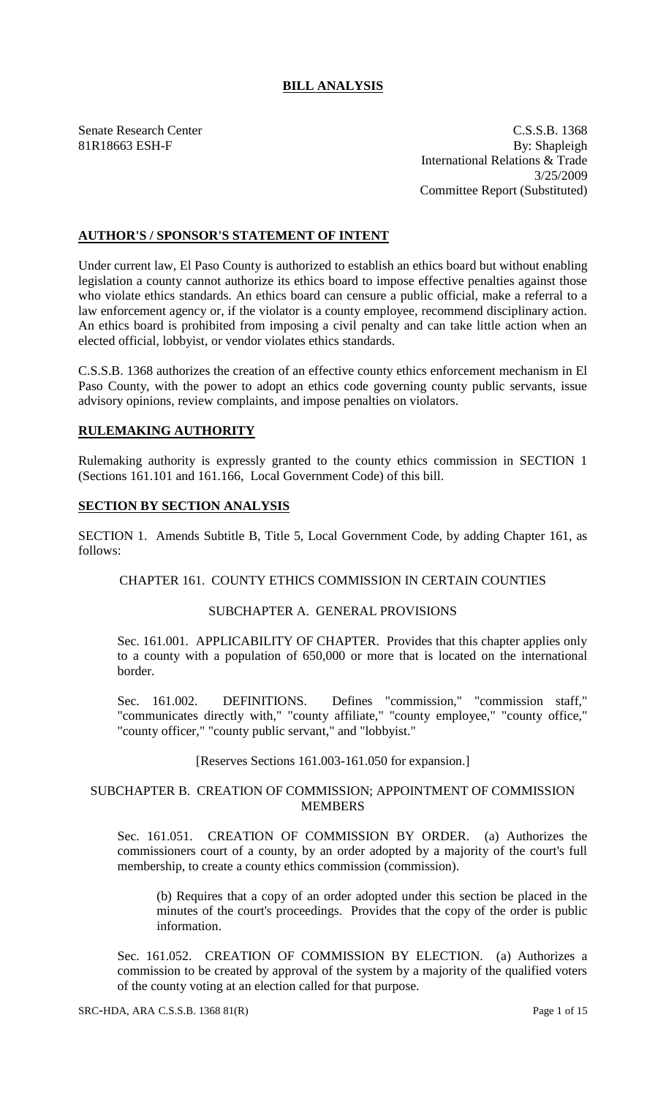# **BILL ANALYSIS**

Senate Research Center C.S.S.B. 1368 81R18663 ESH-F By: Shapleigh International Relations & Trade 3/25/2009 Committee Report (Substituted)

# **AUTHOR'S / SPONSOR'S STATEMENT OF INTENT**

Under current law, El Paso County is authorized to establish an ethics board but without enabling legislation a county cannot authorize its ethics board to impose effective penalties against those who violate ethics standards. An ethics board can censure a public official, make a referral to a law enforcement agency or, if the violator is a county employee, recommend disciplinary action. An ethics board is prohibited from imposing a civil penalty and can take little action when an elected official, lobbyist, or vendor violates ethics standards.

C.S.S.B. 1368 authorizes the creation of an effective county ethics enforcement mechanism in El Paso County, with the power to adopt an ethics code governing county public servants, issue advisory opinions, review complaints, and impose penalties on violators.

## **RULEMAKING AUTHORITY**

Rulemaking authority is expressly granted to the county ethics commission in SECTION 1 (Sections 161.101 and 161.166, Local Government Code) of this bill.

### **SECTION BY SECTION ANALYSIS**

SECTION 1. Amends Subtitle B, Title 5, Local Government Code, by adding Chapter 161, as follows:

### CHAPTER 161. COUNTY ETHICS COMMISSION IN CERTAIN COUNTIES

#### SUBCHAPTER A. GENERAL PROVISIONS

Sec. 161.001. APPLICABILITY OF CHAPTER. Provides that this chapter applies only to a county with a population of 650,000 or more that is located on the international border.

Sec. 161.002. DEFINITIONS. Defines "commission," "commission staff," "communicates directly with," "county affiliate," "county employee," "county office," "county officer," "county public servant," and "lobbyist."

#### [Reserves Sections 161.003-161.050 for expansion.]

## SUBCHAPTER B. CREATION OF COMMISSION; APPOINTMENT OF COMMISSION MEMBERS

Sec. 161.051. CREATION OF COMMISSION BY ORDER. (a) Authorizes the commissioners court of a county, by an order adopted by a majority of the court's full membership, to create a county ethics commission (commission).

(b) Requires that a copy of an order adopted under this section be placed in the minutes of the court's proceedings. Provides that the copy of the order is public information.

Sec. 161.052. CREATION OF COMMISSION BY ELECTION. (a) Authorizes a commission to be created by approval of the system by a majority of the qualified voters of the county voting at an election called for that purpose.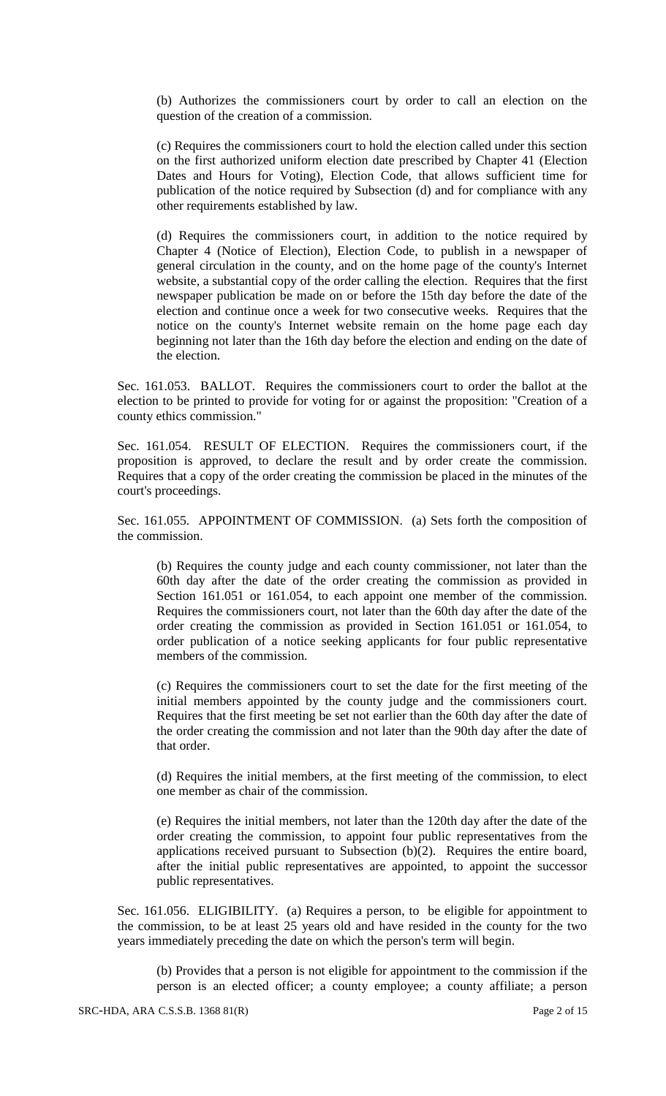(b) Authorizes the commissioners court by order to call an election on the question of the creation of a commission.

(c) Requires the commissioners court to hold the election called under this section on the first authorized uniform election date prescribed by Chapter 41 (Election Dates and Hours for Voting), Election Code, that allows sufficient time for publication of the notice required by Subsection (d) and for compliance with any other requirements established by law.

(d) Requires the commissioners court, in addition to the notice required by Chapter 4 (Notice of Election), Election Code, to publish in a newspaper of general circulation in the county, and on the home page of the county's Internet website, a substantial copy of the order calling the election. Requires that the first newspaper publication be made on or before the 15th day before the date of the election and continue once a week for two consecutive weeks. Requires that the notice on the county's Internet website remain on the home page each day beginning not later than the 16th day before the election and ending on the date of the election.

Sec. 161.053. BALLOT. Requires the commissioners court to order the ballot at the election to be printed to provide for voting for or against the proposition: "Creation of a county ethics commission."

Sec. 161.054. RESULT OF ELECTION. Requires the commissioners court, if the proposition is approved, to declare the result and by order create the commission. Requires that a copy of the order creating the commission be placed in the minutes of the court's proceedings.

Sec. 161.055. APPOINTMENT OF COMMISSION. (a) Sets forth the composition of the commission.

(b) Requires the county judge and each county commissioner, not later than the 60th day after the date of the order creating the commission as provided in Section 161.051 or 161.054, to each appoint one member of the commission. Requires the commissioners court, not later than the 60th day after the date of the order creating the commission as provided in Section 161.051 or 161.054, to order publication of a notice seeking applicants for four public representative members of the commission.

(c) Requires the commissioners court to set the date for the first meeting of the initial members appointed by the county judge and the commissioners court. Requires that the first meeting be set not earlier than the 60th day after the date of the order creating the commission and not later than the 90th day after the date of that order.

(d) Requires the initial members, at the first meeting of the commission, to elect one member as chair of the commission.

(e) Requires the initial members, not later than the 120th day after the date of the order creating the commission, to appoint four public representatives from the applications received pursuant to Subsection (b)(2). Requires the entire board, after the initial public representatives are appointed, to appoint the successor public representatives.

Sec. 161.056. ELIGIBILITY. (a) Requires a person, to be eligible for appointment to the commission, to be at least 25 years old and have resided in the county for the two years immediately preceding the date on which the person's term will begin.

(b) Provides that a person is not eligible for appointment to the commission if the person is an elected officer; a county employee; a county affiliate; a person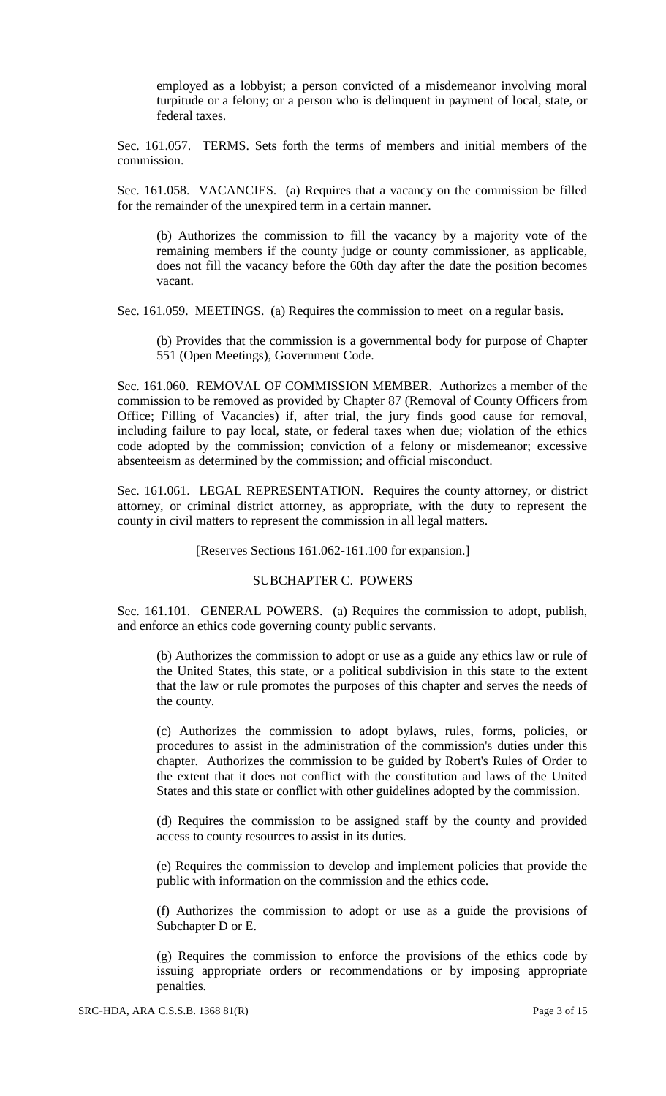employed as a lobbyist; a person convicted of a misdemeanor involving moral turpitude or a felony; or a person who is delinquent in payment of local, state, or federal taxes.

Sec. 161.057. TERMS. Sets forth the terms of members and initial members of the commission.

Sec. 161.058. VACANCIES. (a) Requires that a vacancy on the commission be filled for the remainder of the unexpired term in a certain manner.

(b) Authorizes the commission to fill the vacancy by a majority vote of the remaining members if the county judge or county commissioner, as applicable, does not fill the vacancy before the 60th day after the date the position becomes vacant.

Sec. 161.059. MEETINGS. (a) Requires the commission to meet on a regular basis.

(b) Provides that the commission is a governmental body for purpose of Chapter 551 (Open Meetings), Government Code.

Sec. 161.060. REMOVAL OF COMMISSION MEMBER. Authorizes a member of the commission to be removed as provided by Chapter 87 (Removal of County Officers from Office; Filling of Vacancies) if, after trial, the jury finds good cause for removal, including failure to pay local, state, or federal taxes when due; violation of the ethics code adopted by the commission; conviction of a felony or misdemeanor; excessive absenteeism as determined by the commission; and official misconduct.

Sec. 161.061. LEGAL REPRESENTATION. Requires the county attorney, or district attorney, or criminal district attorney, as appropriate, with the duty to represent the county in civil matters to represent the commission in all legal matters.

[Reserves Sections 161.062-161.100 for expansion.]

#### SUBCHAPTER C. POWERS

Sec. 161.101. GENERAL POWERS. (a) Requires the commission to adopt, publish, and enforce an ethics code governing county public servants.

(b) Authorizes the commission to adopt or use as a guide any ethics law or rule of the United States, this state, or a political subdivision in this state to the extent that the law or rule promotes the purposes of this chapter and serves the needs of the county.

(c) Authorizes the commission to adopt bylaws, rules, forms, policies, or procedures to assist in the administration of the commission's duties under this chapter. Authorizes the commission to be guided by Robert's Rules of Order to the extent that it does not conflict with the constitution and laws of the United States and this state or conflict with other guidelines adopted by the commission.

(d) Requires the commission to be assigned staff by the county and provided access to county resources to assist in its duties.

(e) Requires the commission to develop and implement policies that provide the public with information on the commission and the ethics code.

(f) Authorizes the commission to adopt or use as a guide the provisions of Subchapter D or E.

(g) Requires the commission to enforce the provisions of the ethics code by issuing appropriate orders or recommendations or by imposing appropriate penalties.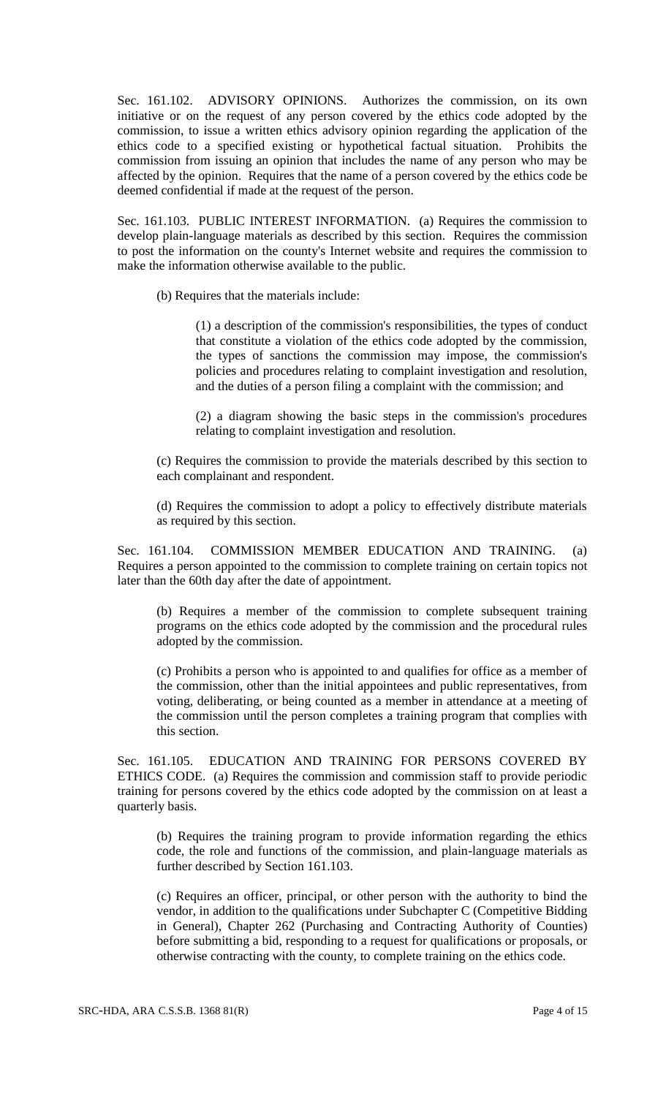Sec. 161.102. ADVISORY OPINIONS. Authorizes the commission, on its own initiative or on the request of any person covered by the ethics code adopted by the commission, to issue a written ethics advisory opinion regarding the application of the ethics code to a specified existing or hypothetical factual situation. Prohibits the commission from issuing an opinion that includes the name of any person who may be affected by the opinion. Requires that the name of a person covered by the ethics code be deemed confidential if made at the request of the person.

Sec. 161.103. PUBLIC INTEREST INFORMATION. (a) Requires the commission to develop plain-language materials as described by this section. Requires the commission to post the information on the county's Internet website and requires the commission to make the information otherwise available to the public.

(b) Requires that the materials include:

(1) a description of the commission's responsibilities, the types of conduct that constitute a violation of the ethics code adopted by the commission, the types of sanctions the commission may impose, the commission's policies and procedures relating to complaint investigation and resolution, and the duties of a person filing a complaint with the commission; and

(2) a diagram showing the basic steps in the commission's procedures relating to complaint investigation and resolution.

(c) Requires the commission to provide the materials described by this section to each complainant and respondent.

(d) Requires the commission to adopt a policy to effectively distribute materials as required by this section.

Sec. 161.104. COMMISSION MEMBER EDUCATION AND TRAINING. (a) Requires a person appointed to the commission to complete training on certain topics not later than the 60th day after the date of appointment.

(b) Requires a member of the commission to complete subsequent training programs on the ethics code adopted by the commission and the procedural rules adopted by the commission.

(c) Prohibits a person who is appointed to and qualifies for office as a member of the commission, other than the initial appointees and public representatives, from voting, deliberating, or being counted as a member in attendance at a meeting of the commission until the person completes a training program that complies with this section.

Sec. 161.105. EDUCATION AND TRAINING FOR PERSONS COVERED BY ETHICS CODE. (a) Requires the commission and commission staff to provide periodic training for persons covered by the ethics code adopted by the commission on at least a quarterly basis.

(b) Requires the training program to provide information regarding the ethics code, the role and functions of the commission, and plain-language materials as further described by Section 161.103.

(c) Requires an officer, principal, or other person with the authority to bind the vendor, in addition to the qualifications under Subchapter C (Competitive Bidding in General), Chapter 262 (Purchasing and Contracting Authority of Counties) before submitting a bid, responding to a request for qualifications or proposals, or otherwise contracting with the county, to complete training on the ethics code.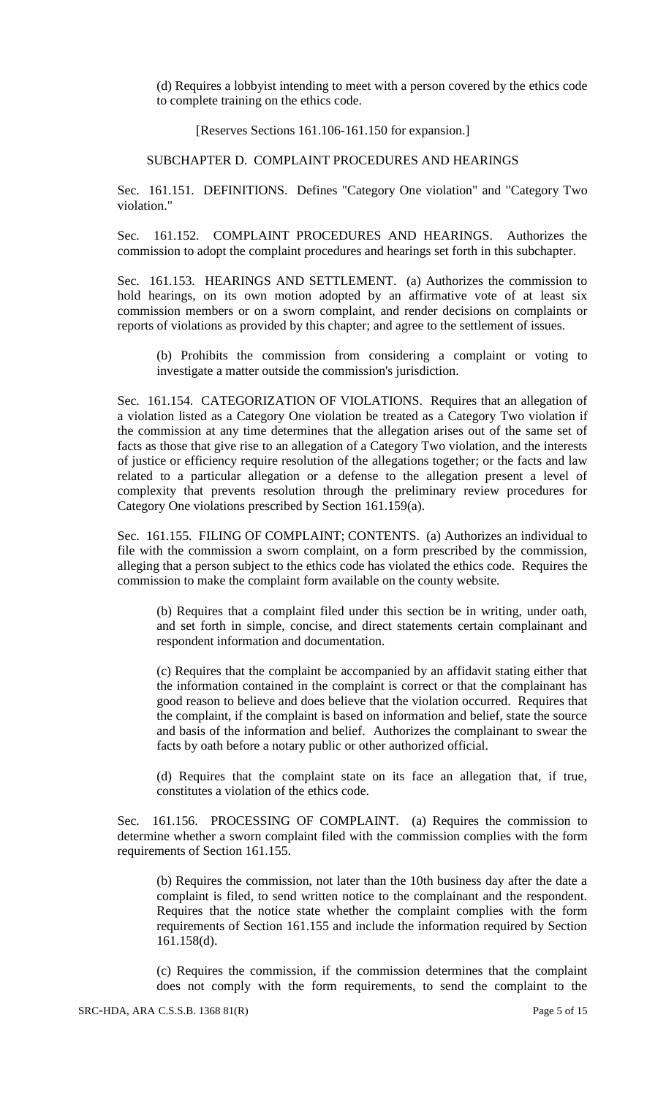(d) Requires a lobbyist intending to meet with a person covered by the ethics code to complete training on the ethics code.

[Reserves Sections 161.106-161.150 for expansion.]

SUBCHAPTER D. COMPLAINT PROCEDURES AND HEARINGS

Sec. 161.151. DEFINITIONS. Defines "Category One violation" and "Category Two violation."

Sec. 161.152. COMPLAINT PROCEDURES AND HEARINGS. Authorizes the commission to adopt the complaint procedures and hearings set forth in this subchapter.

Sec. 161.153. HEARINGS AND SETTLEMENT. (a) Authorizes the commission to hold hearings, on its own motion adopted by an affirmative vote of at least six commission members or on a sworn complaint, and render decisions on complaints or reports of violations as provided by this chapter; and agree to the settlement of issues.

(b) Prohibits the commission from considering a complaint or voting to investigate a matter outside the commission's jurisdiction.

Sec. 161.154. CATEGORIZATION OF VIOLATIONS. Requires that an allegation of a violation listed as a Category One violation be treated as a Category Two violation if the commission at any time determines that the allegation arises out of the same set of facts as those that give rise to an allegation of a Category Two violation, and the interests of justice or efficiency require resolution of the allegations together; or the facts and law related to a particular allegation or a defense to the allegation present a level of complexity that prevents resolution through the preliminary review procedures for Category One violations prescribed by Section 161.159(a).

Sec. 161.155. FILING OF COMPLAINT; CONTENTS. (a) Authorizes an individual to file with the commission a sworn complaint, on a form prescribed by the commission, alleging that a person subject to the ethics code has violated the ethics code. Requires the commission to make the complaint form available on the county website.

(b) Requires that a complaint filed under this section be in writing, under oath, and set forth in simple, concise, and direct statements certain complainant and respondent information and documentation.

(c) Requires that the complaint be accompanied by an affidavit stating either that the information contained in the complaint is correct or that the complainant has good reason to believe and does believe that the violation occurred. Requires that the complaint, if the complaint is based on information and belief, state the source and basis of the information and belief. Authorizes the complainant to swear the facts by oath before a notary public or other authorized official.

(d) Requires that the complaint state on its face an allegation that, if true, constitutes a violation of the ethics code.

Sec. 161.156. PROCESSING OF COMPLAINT. (a) Requires the commission to determine whether a sworn complaint filed with the commission complies with the form requirements of Section 161.155.

(b) Requires the commission, not later than the 10th business day after the date a complaint is filed, to send written notice to the complainant and the respondent. Requires that the notice state whether the complaint complies with the form requirements of Section 161.155 and include the information required by Section 161.158(d).

(c) Requires the commission, if the commission determines that the complaint does not comply with the form requirements, to send the complaint to the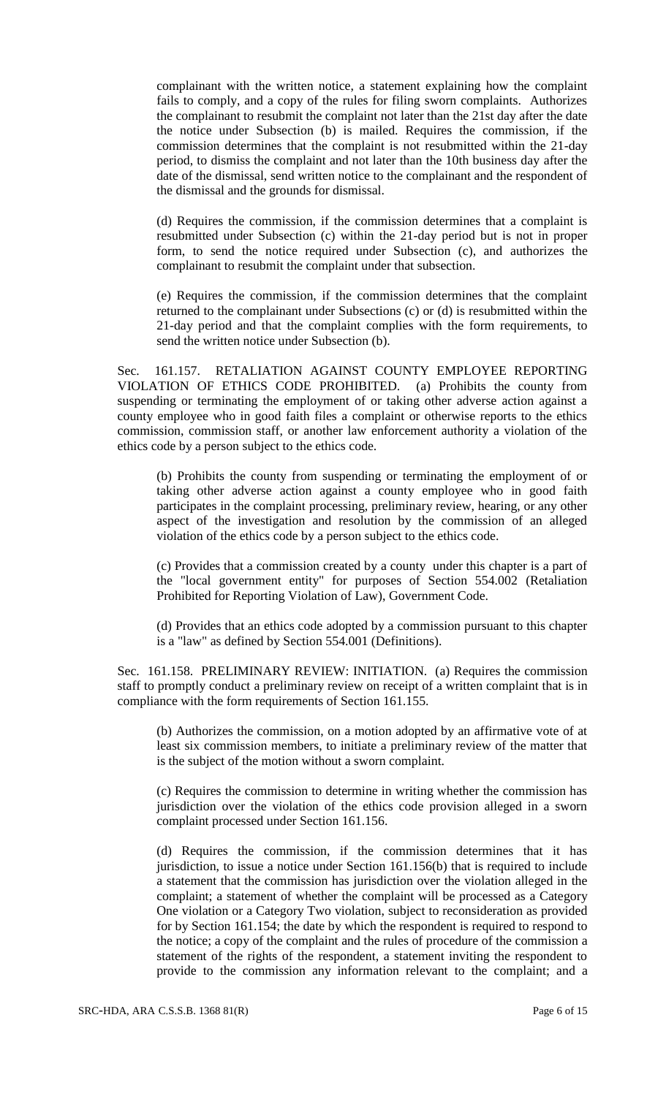complainant with the written notice, a statement explaining how the complaint fails to comply, and a copy of the rules for filing sworn complaints. Authorizes the complainant to resubmit the complaint not later than the 21st day after the date the notice under Subsection (b) is mailed. Requires the commission, if the commission determines that the complaint is not resubmitted within the 21-day period, to dismiss the complaint and not later than the 10th business day after the date of the dismissal, send written notice to the complainant and the respondent of the dismissal and the grounds for dismissal.

(d) Requires the commission, if the commission determines that a complaint is resubmitted under Subsection (c) within the 21-day period but is not in proper form, to send the notice required under Subsection (c), and authorizes the complainant to resubmit the complaint under that subsection.

(e) Requires the commission, if the commission determines that the complaint returned to the complainant under Subsections (c) or (d) is resubmitted within the 21-day period and that the complaint complies with the form requirements, to send the written notice under Subsection (b).

Sec. 161.157. RETALIATION AGAINST COUNTY EMPLOYEE REPORTING VIOLATION OF ETHICS CODE PROHIBITED. (a) Prohibits the county from suspending or terminating the employment of or taking other adverse action against a county employee who in good faith files a complaint or otherwise reports to the ethics commission, commission staff, or another law enforcement authority a violation of the ethics code by a person subject to the ethics code.

(b) Prohibits the county from suspending or terminating the employment of or taking other adverse action against a county employee who in good faith participates in the complaint processing, preliminary review, hearing, or any other aspect of the investigation and resolution by the commission of an alleged violation of the ethics code by a person subject to the ethics code.

(c) Provides that a commission created by a county under this chapter is a part of the "local government entity" for purposes of Section 554.002 (Retaliation Prohibited for Reporting Violation of Law), Government Code.

(d) Provides that an ethics code adopted by a commission pursuant to this chapter is a "law" as defined by Section 554.001 (Definitions).

Sec. 161.158. PRELIMINARY REVIEW: INITIATION. (a) Requires the commission staff to promptly conduct a preliminary review on receipt of a written complaint that is in compliance with the form requirements of Section 161.155.

(b) Authorizes the commission, on a motion adopted by an affirmative vote of at least six commission members, to initiate a preliminary review of the matter that is the subject of the motion without a sworn complaint.

(c) Requires the commission to determine in writing whether the commission has jurisdiction over the violation of the ethics code provision alleged in a sworn complaint processed under Section 161.156.

(d) Requires the commission, if the commission determines that it has jurisdiction, to issue a notice under Section 161.156(b) that is required to include a statement that the commission has jurisdiction over the violation alleged in the complaint; a statement of whether the complaint will be processed as a Category One violation or a Category Two violation, subject to reconsideration as provided for by Section 161.154; the date by which the respondent is required to respond to the notice; a copy of the complaint and the rules of procedure of the commission a statement of the rights of the respondent, a statement inviting the respondent to provide to the commission any information relevant to the complaint; and a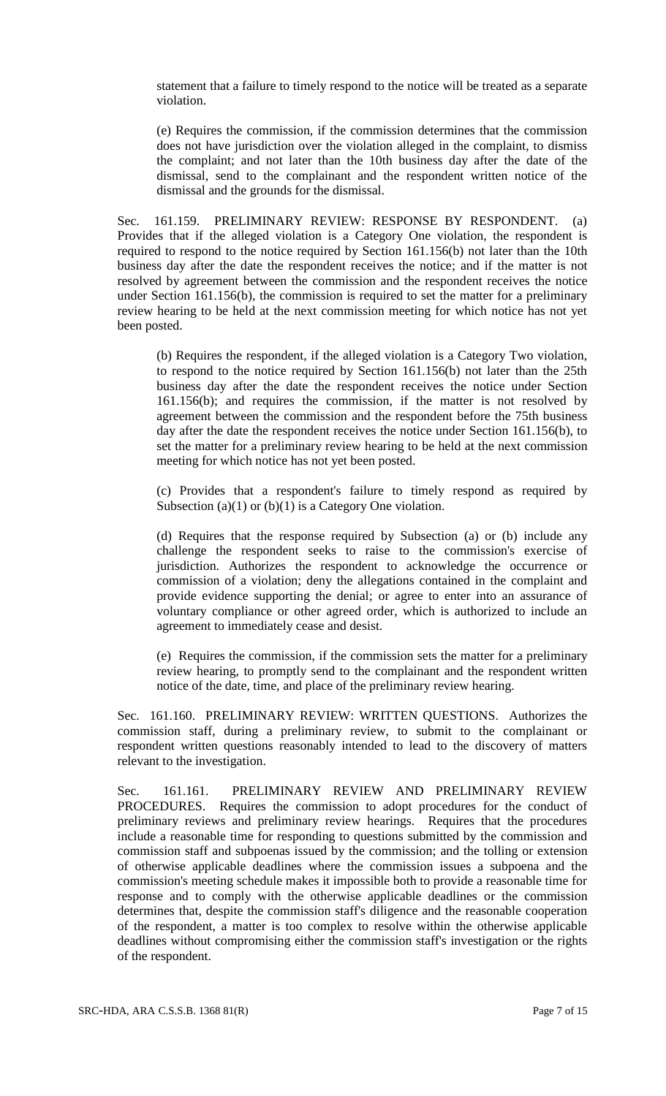statement that a failure to timely respond to the notice will be treated as a separate violation.

(e) Requires the commission, if the commission determines that the commission does not have jurisdiction over the violation alleged in the complaint, to dismiss the complaint; and not later than the 10th business day after the date of the dismissal, send to the complainant and the respondent written notice of the dismissal and the grounds for the dismissal.

Sec. 161.159. PRELIMINARY REVIEW: RESPONSE BY RESPONDENT. (a) Provides that if the alleged violation is a Category One violation, the respondent is required to respond to the notice required by Section 161.156(b) not later than the 10th business day after the date the respondent receives the notice; and if the matter is not resolved by agreement between the commission and the respondent receives the notice under Section 161.156(b), the commission is required to set the matter for a preliminary review hearing to be held at the next commission meeting for which notice has not yet been posted.

(b) Requires the respondent, if the alleged violation is a Category Two violation, to respond to the notice required by Section 161.156(b) not later than the 25th business day after the date the respondent receives the notice under Section 161.156(b); and requires the commission, if the matter is not resolved by agreement between the commission and the respondent before the 75th business day after the date the respondent receives the notice under Section 161.156(b), to set the matter for a preliminary review hearing to be held at the next commission meeting for which notice has not yet been posted.

(c) Provides that a respondent's failure to timely respond as required by Subsection (a)(1) or (b)(1) is a Category One violation.

(d) Requires that the response required by Subsection (a) or (b) include any challenge the respondent seeks to raise to the commission's exercise of jurisdiction. Authorizes the respondent to acknowledge the occurrence or commission of a violation; deny the allegations contained in the complaint and provide evidence supporting the denial; or agree to enter into an assurance of voluntary compliance or other agreed order, which is authorized to include an agreement to immediately cease and desist.

(e) Requires the commission, if the commission sets the matter for a preliminary review hearing, to promptly send to the complainant and the respondent written notice of the date, time, and place of the preliminary review hearing.

Sec. 161.160. PRELIMINARY REVIEW: WRITTEN QUESTIONS. Authorizes the commission staff, during a preliminary review, to submit to the complainant or respondent written questions reasonably intended to lead to the discovery of matters relevant to the investigation.

Sec. 161.161. PRELIMINARY REVIEW AND PRELIMINARY REVIEW PROCEDURES. Requires the commission to adopt procedures for the conduct of preliminary reviews and preliminary review hearings. Requires that the procedures include a reasonable time for responding to questions submitted by the commission and commission staff and subpoenas issued by the commission; and the tolling or extension of otherwise applicable deadlines where the commission issues a subpoena and the commission's meeting schedule makes it impossible both to provide a reasonable time for response and to comply with the otherwise applicable deadlines or the commission determines that, despite the commission staff's diligence and the reasonable cooperation of the respondent, a matter is too complex to resolve within the otherwise applicable deadlines without compromising either the commission staff's investigation or the rights of the respondent.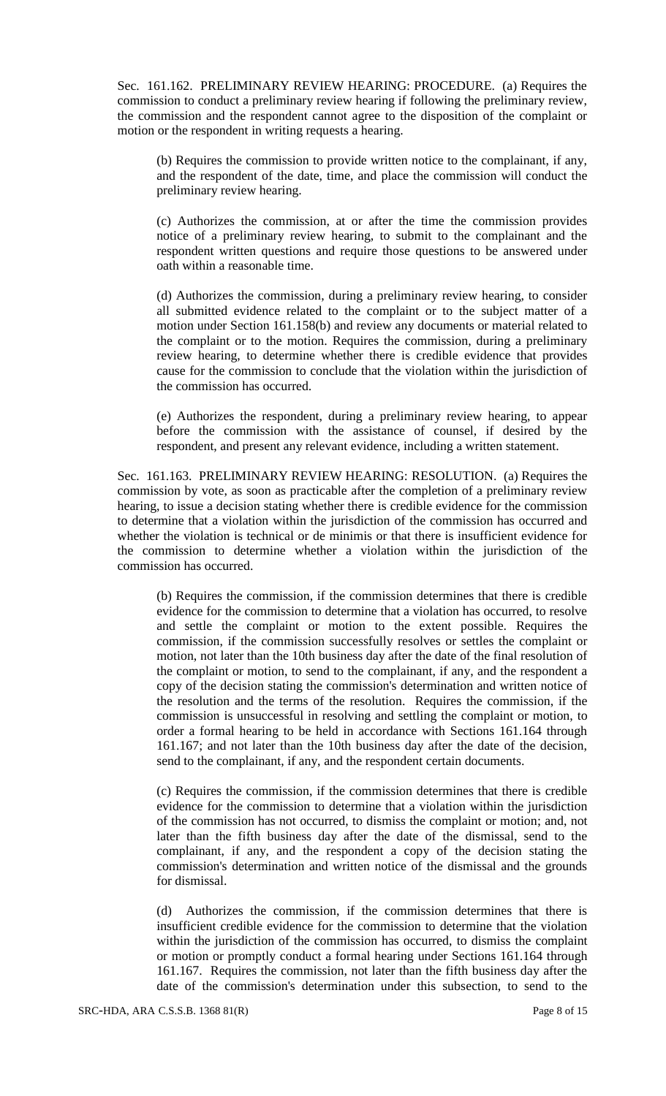Sec. 161.162. PRELIMINARY REVIEW HEARING: PROCEDURE. (a) Requires the commission to conduct a preliminary review hearing if following the preliminary review, the commission and the respondent cannot agree to the disposition of the complaint or motion or the respondent in writing requests a hearing.

(b) Requires the commission to provide written notice to the complainant, if any, and the respondent of the date, time, and place the commission will conduct the preliminary review hearing.

(c) Authorizes the commission, at or after the time the commission provides notice of a preliminary review hearing, to submit to the complainant and the respondent written questions and require those questions to be answered under oath within a reasonable time.

(d) Authorizes the commission, during a preliminary review hearing, to consider all submitted evidence related to the complaint or to the subject matter of a motion under Section 161.158(b) and review any documents or material related to the complaint or to the motion. Requires the commission, during a preliminary review hearing, to determine whether there is credible evidence that provides cause for the commission to conclude that the violation within the jurisdiction of the commission has occurred.

(e) Authorizes the respondent, during a preliminary review hearing, to appear before the commission with the assistance of counsel, if desired by the respondent, and present any relevant evidence, including a written statement.

Sec. 161.163. PRELIMINARY REVIEW HEARING: RESOLUTION. (a) Requires the commission by vote, as soon as practicable after the completion of a preliminary review hearing, to issue a decision stating whether there is credible evidence for the commission to determine that a violation within the jurisdiction of the commission has occurred and whether the violation is technical or de minimis or that there is insufficient evidence for the commission to determine whether a violation within the jurisdiction of the commission has occurred.

(b) Requires the commission, if the commission determines that there is credible evidence for the commission to determine that a violation has occurred, to resolve and settle the complaint or motion to the extent possible. Requires the commission, if the commission successfully resolves or settles the complaint or motion, not later than the 10th business day after the date of the final resolution of the complaint or motion, to send to the complainant, if any, and the respondent a copy of the decision stating the commission's determination and written notice of the resolution and the terms of the resolution. Requires the commission, if the commission is unsuccessful in resolving and settling the complaint or motion, to order a formal hearing to be held in accordance with Sections 161.164 through 161.167; and not later than the 10th business day after the date of the decision, send to the complainant, if any, and the respondent certain documents.

(c) Requires the commission, if the commission determines that there is credible evidence for the commission to determine that a violation within the jurisdiction of the commission has not occurred, to dismiss the complaint or motion; and, not later than the fifth business day after the date of the dismissal, send to the complainant, if any, and the respondent a copy of the decision stating the commission's determination and written notice of the dismissal and the grounds for dismissal.

(d) Authorizes the commission, if the commission determines that there is insufficient credible evidence for the commission to determine that the violation within the jurisdiction of the commission has occurred, to dismiss the complaint or motion or promptly conduct a formal hearing under Sections 161.164 through 161.167. Requires the commission, not later than the fifth business day after the date of the commission's determination under this subsection, to send to the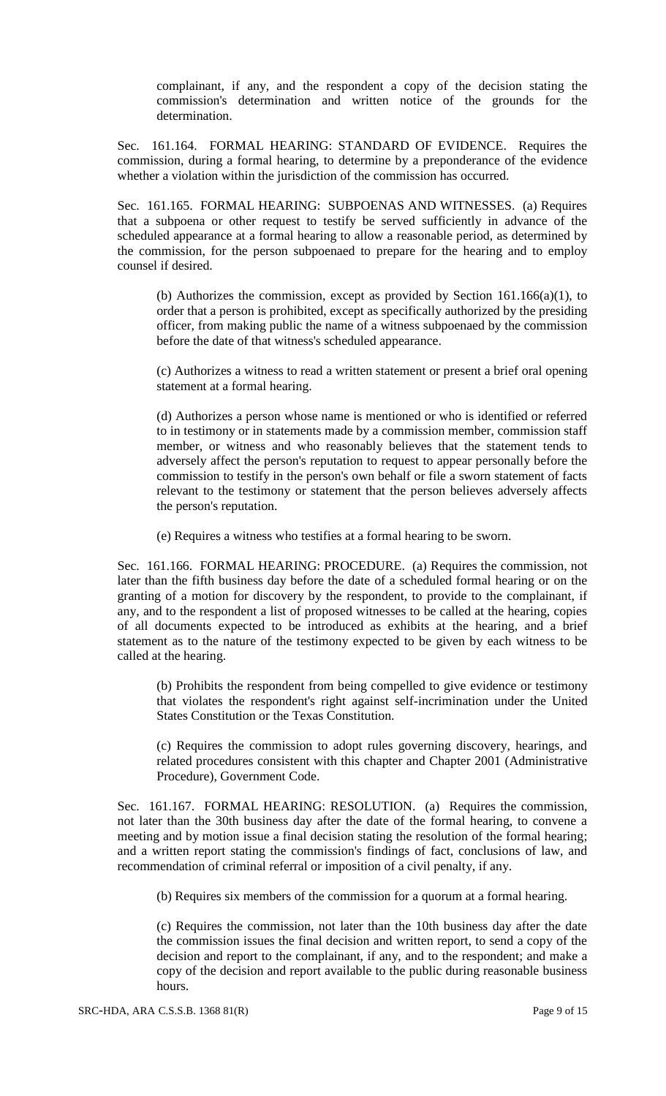complainant, if any, and the respondent a copy of the decision stating the commission's determination and written notice of the grounds for the determination.

Sec. 161.164. FORMAL HEARING: STANDARD OF EVIDENCE. Requires the commission, during a formal hearing, to determine by a preponderance of the evidence whether a violation within the jurisdiction of the commission has occurred.

Sec. 161.165. FORMAL HEARING: SUBPOENAS AND WITNESSES. (a) Requires that a subpoena or other request to testify be served sufficiently in advance of the scheduled appearance at a formal hearing to allow a reasonable period, as determined by the commission, for the person subpoenaed to prepare for the hearing and to employ counsel if desired.

(b) Authorizes the commission, except as provided by Section 161.166(a)(1), to order that a person is prohibited, except as specifically authorized by the presiding officer, from making public the name of a witness subpoenaed by the commission before the date of that witness's scheduled appearance.

(c) Authorizes a witness to read a written statement or present a brief oral opening statement at a formal hearing.

(d) Authorizes a person whose name is mentioned or who is identified or referred to in testimony or in statements made by a commission member, commission staff member, or witness and who reasonably believes that the statement tends to adversely affect the person's reputation to request to appear personally before the commission to testify in the person's own behalf or file a sworn statement of facts relevant to the testimony or statement that the person believes adversely affects the person's reputation.

(e) Requires a witness who testifies at a formal hearing to be sworn.

Sec. 161.166. FORMAL HEARING: PROCEDURE. (a) Requires the commission, not later than the fifth business day before the date of a scheduled formal hearing or on the granting of a motion for discovery by the respondent, to provide to the complainant, if any, and to the respondent a list of proposed witnesses to be called at the hearing, copies of all documents expected to be introduced as exhibits at the hearing, and a brief statement as to the nature of the testimony expected to be given by each witness to be called at the hearing.

(b) Prohibits the respondent from being compelled to give evidence or testimony that violates the respondent's right against self-incrimination under the United States Constitution or the Texas Constitution.

(c) Requires the commission to adopt rules governing discovery, hearings, and related procedures consistent with this chapter and Chapter 2001 (Administrative Procedure), Government Code.

Sec. 161.167. FORMAL HEARING: RESOLUTION. (a) Requires the commission, not later than the 30th business day after the date of the formal hearing, to convene a meeting and by motion issue a final decision stating the resolution of the formal hearing; and a written report stating the commission's findings of fact, conclusions of law, and recommendation of criminal referral or imposition of a civil penalty, if any.

(b) Requires six members of the commission for a quorum at a formal hearing.

(c) Requires the commission, not later than the 10th business day after the date the commission issues the final decision and written report, to send a copy of the decision and report to the complainant, if any, and to the respondent; and make a copy of the decision and report available to the public during reasonable business hours.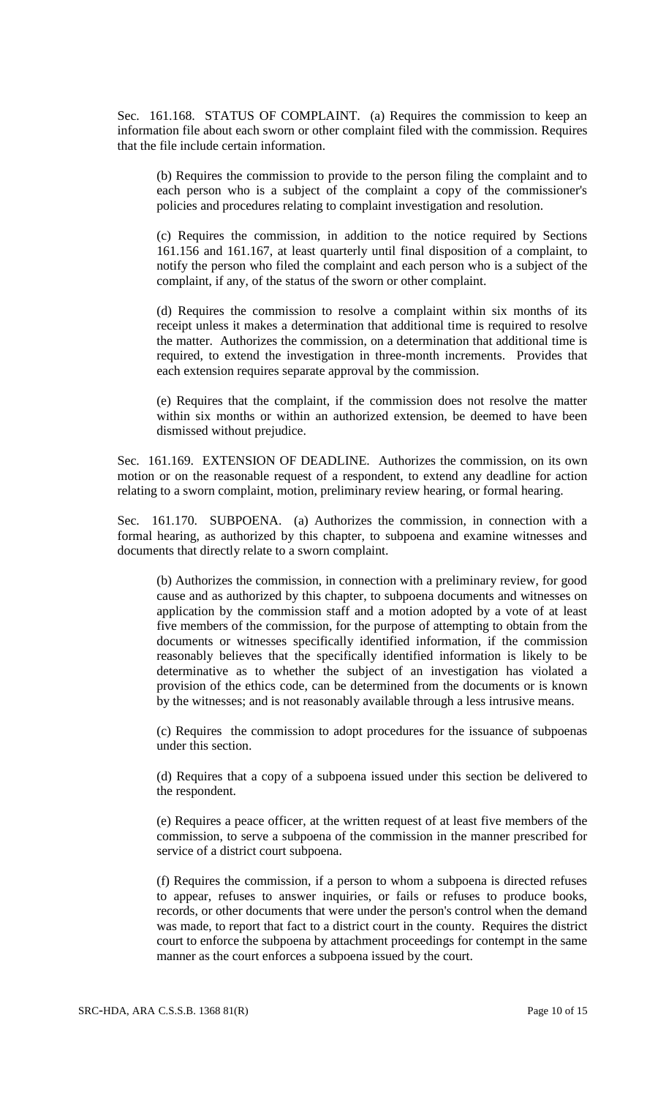Sec. 161.168. STATUS OF COMPLAINT. (a) Requires the commission to keep an information file about each sworn or other complaint filed with the commission. Requires that the file include certain information.

(b) Requires the commission to provide to the person filing the complaint and to each person who is a subject of the complaint a copy of the commissioner's policies and procedures relating to complaint investigation and resolution.

(c) Requires the commission, in addition to the notice required by Sections 161.156 and 161.167, at least quarterly until final disposition of a complaint, to notify the person who filed the complaint and each person who is a subject of the complaint, if any, of the status of the sworn or other complaint.

(d) Requires the commission to resolve a complaint within six months of its receipt unless it makes a determination that additional time is required to resolve the matter. Authorizes the commission, on a determination that additional time is required, to extend the investigation in three-month increments. Provides that each extension requires separate approval by the commission.

(e) Requires that the complaint, if the commission does not resolve the matter within six months or within an authorized extension, be deemed to have been dismissed without prejudice.

Sec. 161.169. EXTENSION OF DEADLINE. Authorizes the commission, on its own motion or on the reasonable request of a respondent, to extend any deadline for action relating to a sworn complaint, motion, preliminary review hearing, or formal hearing.

Sec. 161.170. SUBPOENA. (a) Authorizes the commission, in connection with a formal hearing, as authorized by this chapter, to subpoena and examine witnesses and documents that directly relate to a sworn complaint.

(b) Authorizes the commission, in connection with a preliminary review, for good cause and as authorized by this chapter, to subpoena documents and witnesses on application by the commission staff and a motion adopted by a vote of at least five members of the commission, for the purpose of attempting to obtain from the documents or witnesses specifically identified information, if the commission reasonably believes that the specifically identified information is likely to be determinative as to whether the subject of an investigation has violated a provision of the ethics code, can be determined from the documents or is known by the witnesses; and is not reasonably available through a less intrusive means.

(c) Requires the commission to adopt procedures for the issuance of subpoenas under this section.

(d) Requires that a copy of a subpoena issued under this section be delivered to the respondent.

(e) Requires a peace officer, at the written request of at least five members of the commission, to serve a subpoena of the commission in the manner prescribed for service of a district court subpoena.

(f) Requires the commission, if a person to whom a subpoena is directed refuses to appear, refuses to answer inquiries, or fails or refuses to produce books, records, or other documents that were under the person's control when the demand was made, to report that fact to a district court in the county. Requires the district court to enforce the subpoena by attachment proceedings for contempt in the same manner as the court enforces a subpoena issued by the court.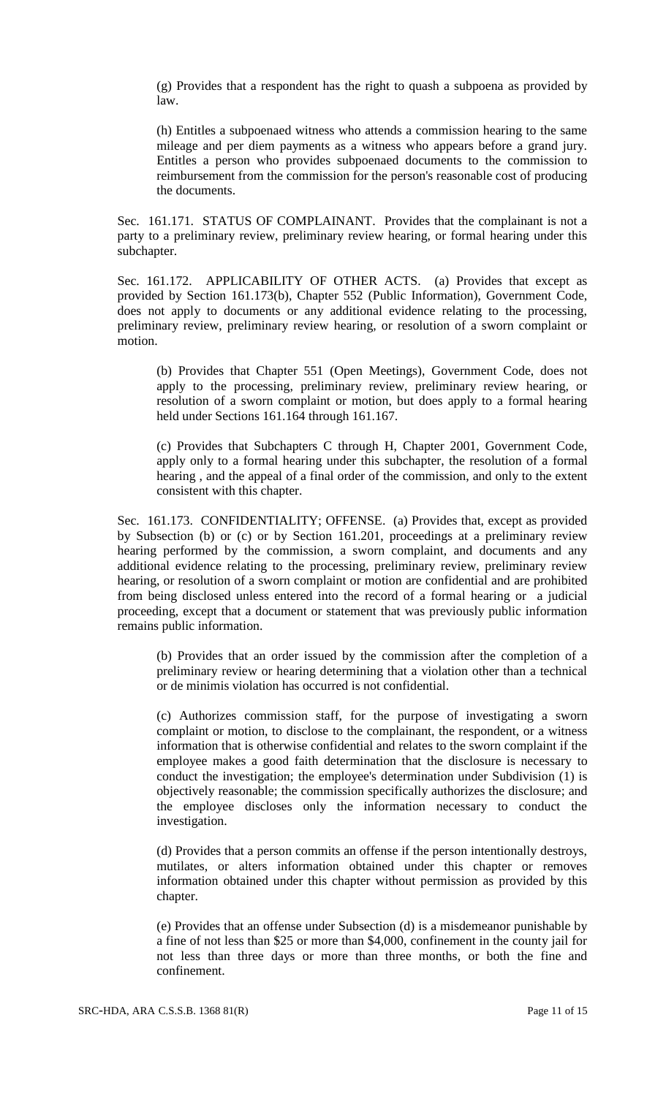(g) Provides that a respondent has the right to quash a subpoena as provided by law.

(h) Entitles a subpoenaed witness who attends a commission hearing to the same mileage and per diem payments as a witness who appears before a grand jury. Entitles a person who provides subpoenaed documents to the commission to reimbursement from the commission for the person's reasonable cost of producing the documents.

Sec. 161.171. STATUS OF COMPLAINANT. Provides that the complainant is not a party to a preliminary review, preliminary review hearing, or formal hearing under this subchapter.

Sec. 161.172. APPLICABILITY OF OTHER ACTS. (a) Provides that except as provided by Section 161.173(b), Chapter 552 (Public Information), Government Code, does not apply to documents or any additional evidence relating to the processing, preliminary review, preliminary review hearing, or resolution of a sworn complaint or motion.

(b) Provides that Chapter 551 (Open Meetings), Government Code, does not apply to the processing, preliminary review, preliminary review hearing, or resolution of a sworn complaint or motion, but does apply to a formal hearing held under Sections 161.164 through 161.167.

(c) Provides that Subchapters C through H, Chapter 2001, Government Code, apply only to a formal hearing under this subchapter, the resolution of a formal hearing , and the appeal of a final order of the commission, and only to the extent consistent with this chapter.

Sec. 161.173. CONFIDENTIALITY; OFFENSE. (a) Provides that, except as provided by Subsection (b) or (c) or by Section 161.201, proceedings at a preliminary review hearing performed by the commission, a sworn complaint, and documents and any additional evidence relating to the processing, preliminary review, preliminary review hearing, or resolution of a sworn complaint or motion are confidential and are prohibited from being disclosed unless entered into the record of a formal hearing or a judicial proceeding, except that a document or statement that was previously public information remains public information.

(b) Provides that an order issued by the commission after the completion of a preliminary review or hearing determining that a violation other than a technical or de minimis violation has occurred is not confidential.

(c) Authorizes commission staff, for the purpose of investigating a sworn complaint or motion, to disclose to the complainant, the respondent, or a witness information that is otherwise confidential and relates to the sworn complaint if the employee makes a good faith determination that the disclosure is necessary to conduct the investigation; the employee's determination under Subdivision (1) is objectively reasonable; the commission specifically authorizes the disclosure; and the employee discloses only the information necessary to conduct the investigation.

(d) Provides that a person commits an offense if the person intentionally destroys, mutilates, or alters information obtained under this chapter or removes information obtained under this chapter without permission as provided by this chapter.

(e) Provides that an offense under Subsection (d) is a misdemeanor punishable by a fine of not less than \$25 or more than \$4,000, confinement in the county jail for not less than three days or more than three months, or both the fine and confinement.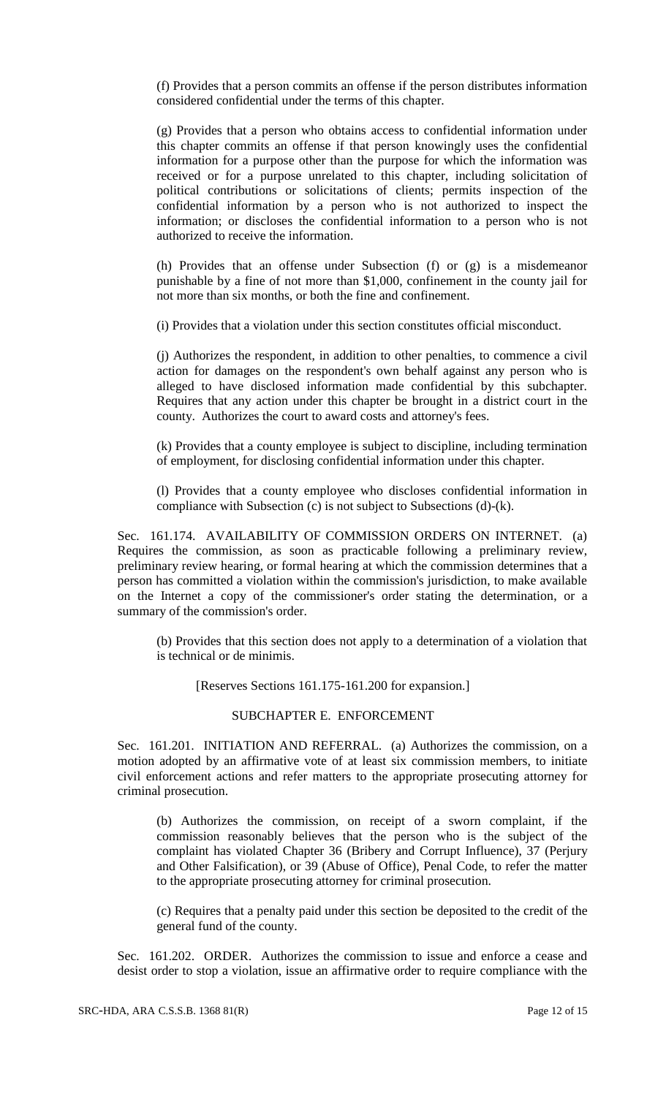(f) Provides that a person commits an offense if the person distributes information considered confidential under the terms of this chapter.

(g) Provides that a person who obtains access to confidential information under this chapter commits an offense if that person knowingly uses the confidential information for a purpose other than the purpose for which the information was received or for a purpose unrelated to this chapter, including solicitation of political contributions or solicitations of clients; permits inspection of the confidential information by a person who is not authorized to inspect the information; or discloses the confidential information to a person who is not authorized to receive the information.

(h) Provides that an offense under Subsection (f) or (g) is a misdemeanor punishable by a fine of not more than \$1,000, confinement in the county jail for not more than six months, or both the fine and confinement.

(i) Provides that a violation under this section constitutes official misconduct.

(j) Authorizes the respondent, in addition to other penalties, to commence a civil action for damages on the respondent's own behalf against any person who is alleged to have disclosed information made confidential by this subchapter. Requires that any action under this chapter be brought in a district court in the county. Authorizes the court to award costs and attorney's fees.

(k) Provides that a county employee is subject to discipline, including termination of employment, for disclosing confidential information under this chapter.

(l) Provides that a county employee who discloses confidential information in compliance with Subsection (c) is not subject to Subsections (d)-(k).

Sec. 161.174. AVAILABILITY OF COMMISSION ORDERS ON INTERNET. (a) Requires the commission, as soon as practicable following a preliminary review, preliminary review hearing, or formal hearing at which the commission determines that a person has committed a violation within the commission's jurisdiction, to make available on the Internet a copy of the commissioner's order stating the determination, or a summary of the commission's order.

(b) Provides that this section does not apply to a determination of a violation that is technical or de minimis.

[Reserves Sections 161.175-161.200 for expansion.]

## SUBCHAPTER E. ENFORCEMENT

Sec. 161.201. INITIATION AND REFERRAL. (a) Authorizes the commission, on a motion adopted by an affirmative vote of at least six commission members, to initiate civil enforcement actions and refer matters to the appropriate prosecuting attorney for criminal prosecution.

(b) Authorizes the commission, on receipt of a sworn complaint, if the commission reasonably believes that the person who is the subject of the complaint has violated Chapter 36 (Bribery and Corrupt Influence), 37 (Perjury and Other Falsification), or 39 (Abuse of Office), Penal Code, to refer the matter to the appropriate prosecuting attorney for criminal prosecution.

(c) Requires that a penalty paid under this section be deposited to the credit of the general fund of the county.

Sec. 161.202. ORDER. Authorizes the commission to issue and enforce a cease and desist order to stop a violation, issue an affirmative order to require compliance with the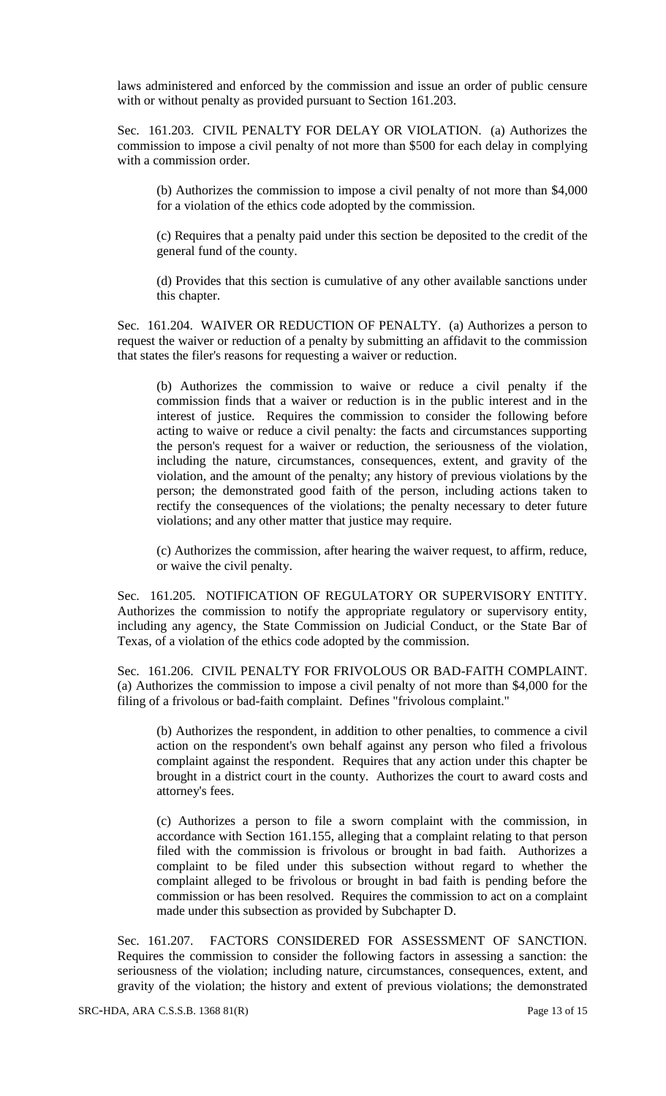laws administered and enforced by the commission and issue an order of public censure with or without penalty as provided pursuant to Section 161.203.

Sec. 161.203. CIVIL PENALTY FOR DELAY OR VIOLATION. (a) Authorizes the commission to impose a civil penalty of not more than \$500 for each delay in complying with a commission order.

(b) Authorizes the commission to impose a civil penalty of not more than \$4,000 for a violation of the ethics code adopted by the commission.

(c) Requires that a penalty paid under this section be deposited to the credit of the general fund of the county.

(d) Provides that this section is cumulative of any other available sanctions under this chapter.

Sec. 161.204. WAIVER OR REDUCTION OF PENALTY. (a) Authorizes a person to request the waiver or reduction of a penalty by submitting an affidavit to the commission that states the filer's reasons for requesting a waiver or reduction.

(b) Authorizes the commission to waive or reduce a civil penalty if the commission finds that a waiver or reduction is in the public interest and in the interest of justice. Requires the commission to consider the following before acting to waive or reduce a civil penalty: the facts and circumstances supporting the person's request for a waiver or reduction, the seriousness of the violation, including the nature, circumstances, consequences, extent, and gravity of the violation, and the amount of the penalty; any history of previous violations by the person; the demonstrated good faith of the person, including actions taken to rectify the consequences of the violations; the penalty necessary to deter future violations; and any other matter that justice may require.

(c) Authorizes the commission, after hearing the waiver request, to affirm, reduce, or waive the civil penalty.

Sec. 161.205. NOTIFICATION OF REGULATORY OR SUPERVISORY ENTITY. Authorizes the commission to notify the appropriate regulatory or supervisory entity, including any agency, the State Commission on Judicial Conduct, or the State Bar of Texas, of a violation of the ethics code adopted by the commission.

Sec. 161.206. CIVIL PENALTY FOR FRIVOLOUS OR BAD-FAITH COMPLAINT. (a) Authorizes the commission to impose a civil penalty of not more than \$4,000 for the filing of a frivolous or bad-faith complaint. Defines "frivolous complaint."

(b) Authorizes the respondent, in addition to other penalties, to commence a civil action on the respondent's own behalf against any person who filed a frivolous complaint against the respondent. Requires that any action under this chapter be brought in a district court in the county. Authorizes the court to award costs and attorney's fees.

(c) Authorizes a person to file a sworn complaint with the commission, in accordance with Section 161.155, alleging that a complaint relating to that person filed with the commission is frivolous or brought in bad faith. Authorizes a complaint to be filed under this subsection without regard to whether the complaint alleged to be frivolous or brought in bad faith is pending before the commission or has been resolved. Requires the commission to act on a complaint made under this subsection as provided by Subchapter D.

Sec. 161.207. FACTORS CONSIDERED FOR ASSESSMENT OF SANCTION. Requires the commission to consider the following factors in assessing a sanction: the seriousness of the violation; including nature, circumstances, consequences, extent, and gravity of the violation; the history and extent of previous violations; the demonstrated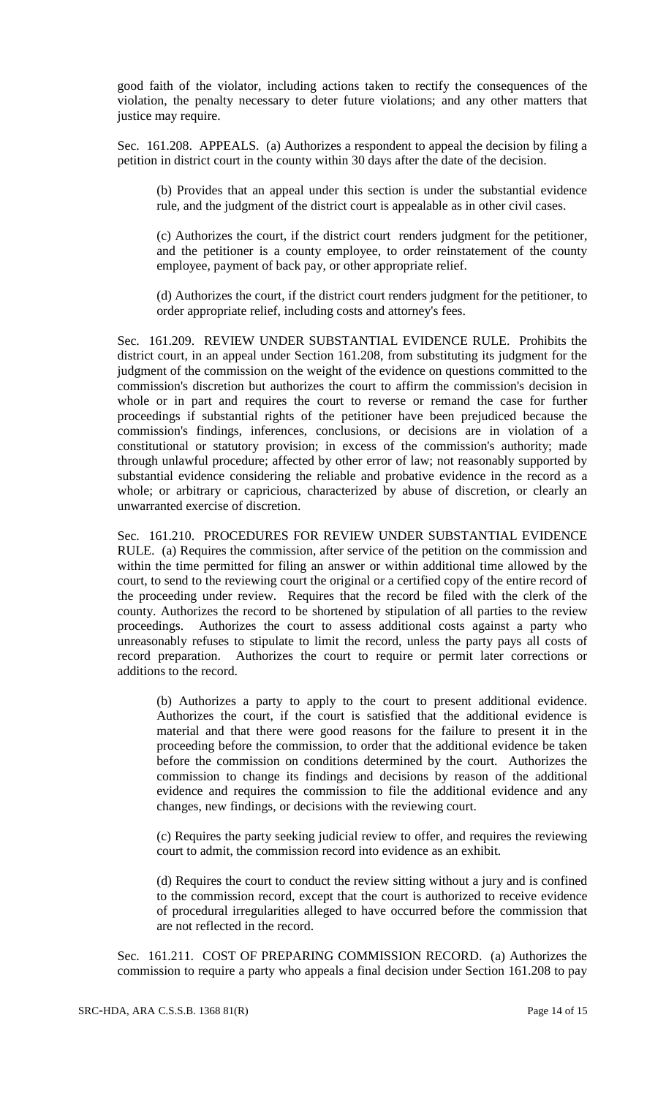good faith of the violator, including actions taken to rectify the consequences of the violation, the penalty necessary to deter future violations; and any other matters that justice may require.

Sec. 161.208. APPEALS. (a) Authorizes a respondent to appeal the decision by filing a petition in district court in the county within 30 days after the date of the decision.

(b) Provides that an appeal under this section is under the substantial evidence rule, and the judgment of the district court is appealable as in other civil cases.

(c) Authorizes the court, if the district court renders judgment for the petitioner, and the petitioner is a county employee, to order reinstatement of the county employee, payment of back pay, or other appropriate relief.

(d) Authorizes the court, if the district court renders judgment for the petitioner, to order appropriate relief, including costs and attorney's fees.

Sec. 161.209. REVIEW UNDER SUBSTANTIAL EVIDENCE RULE. Prohibits the district court, in an appeal under Section 161.208, from substituting its judgment for the judgment of the commission on the weight of the evidence on questions committed to the commission's discretion but authorizes the court to affirm the commission's decision in whole or in part and requires the court to reverse or remand the case for further proceedings if substantial rights of the petitioner have been prejudiced because the commission's findings, inferences, conclusions, or decisions are in violation of a constitutional or statutory provision; in excess of the commission's authority; made through unlawful procedure; affected by other error of law; not reasonably supported by substantial evidence considering the reliable and probative evidence in the record as a whole; or arbitrary or capricious, characterized by abuse of discretion, or clearly an unwarranted exercise of discretion.

Sec. 161.210. PROCEDURES FOR REVIEW UNDER SUBSTANTIAL EVIDENCE RULE. (a) Requires the commission, after service of the petition on the commission and within the time permitted for filing an answer or within additional time allowed by the court, to send to the reviewing court the original or a certified copy of the entire record of the proceeding under review. Requires that the record be filed with the clerk of the county. Authorizes the record to be shortened by stipulation of all parties to the review proceedings. Authorizes the court to assess additional costs against a party who unreasonably refuses to stipulate to limit the record, unless the party pays all costs of record preparation. Authorizes the court to require or permit later corrections or additions to the record.

(b) Authorizes a party to apply to the court to present additional evidence. Authorizes the court, if the court is satisfied that the additional evidence is material and that there were good reasons for the failure to present it in the proceeding before the commission, to order that the additional evidence be taken before the commission on conditions determined by the court. Authorizes the commission to change its findings and decisions by reason of the additional evidence and requires the commission to file the additional evidence and any changes, new findings, or decisions with the reviewing court.

(c) Requires the party seeking judicial review to offer, and requires the reviewing court to admit, the commission record into evidence as an exhibit.

(d) Requires the court to conduct the review sitting without a jury and is confined to the commission record, except that the court is authorized to receive evidence of procedural irregularities alleged to have occurred before the commission that are not reflected in the record.

Sec. 161.211. COST OF PREPARING COMMISSION RECORD. (a) Authorizes the commission to require a party who appeals a final decision under Section 161.208 to pay